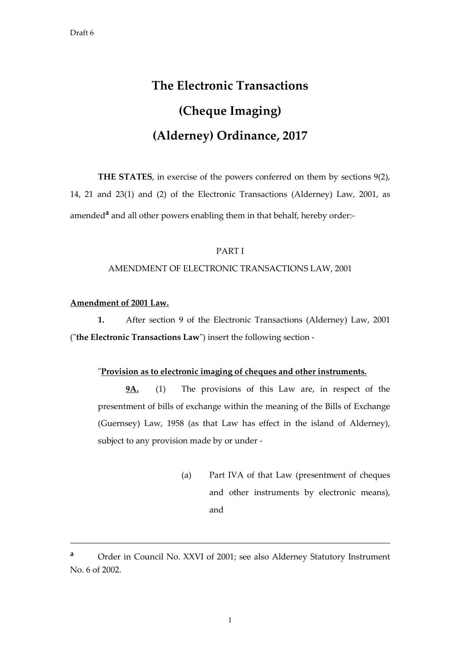# **The Electronic Transactions (Cheque Imaging) (Alderney) Ordinance, 2017**

**THE STATES**, in exercise of the powers conferred on them by sections 9(2), 14, 21 and 23(1) and (2) of the Electronic Transactions (Alderney) Law, 2001, as amended<sup>a</sup> and all other powers enabling them in that behalf, hereby order:-

#### PART I

#### AMENDMENT OF ELECTRONIC TRANSACTIONS LAW, 2001

#### **Amendment of 2001 Law.**

-

 **1.** After section 9 of the Electronic Transactions (Alderney) Law, 2001 ("**the Electronic Transactions Law**") insert the following section -

#### "**Provision as to electronic imaging of cheques and other instruments.**

**9A.** (1) The provisions of this Law are, in respect of the presentment of bills of exchange within the meaning of the Bills of Exchange (Guernsey) Law, 1958 (as that Law has effect in the island of Alderney), subject to any provision made by or under -

> (a) Part IVA of that Law (presentment of cheques and other instruments by electronic means), and

**<sup>a</sup>** Order in Council No. XXVI of 2001; see also Alderney Statutory Instrument No. 6 of 2002.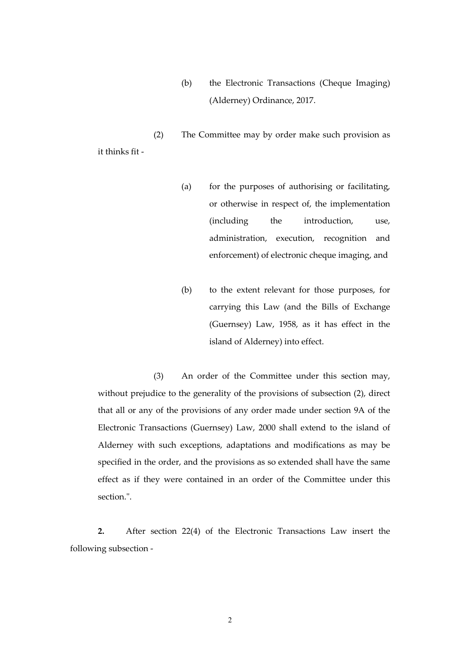(b) the Electronic Transactions (Cheque Imaging) (Alderney) Ordinance, 2017.

(2) The Committee may by order make such provision as it thinks fit -

- (a) for the purposes of authorising or facilitating, or otherwise in respect of, the implementation (including the introduction, use, administration, execution, recognition and enforcement) of electronic cheque imaging, and
- (b) to the extent relevant for those purposes, for carrying this Law (and the Bills of Exchange (Guernsey) Law, 1958, as it has effect in the island of Alderney) into effect.

(3) An order of the Committee under this section may, without prejudice to the generality of the provisions of subsection (2), direct that all or any of the provisions of any order made under section 9A of the Electronic Transactions (Guernsey) Law, 2000 shall extend to the island of Alderney with such exceptions, adaptations and modifications as may be specified in the order, and the provisions as so extended shall have the same effect as if they were contained in an order of the Committee under this section.".

**2.** After section 22(4) of the Electronic Transactions Law insert the following subsection -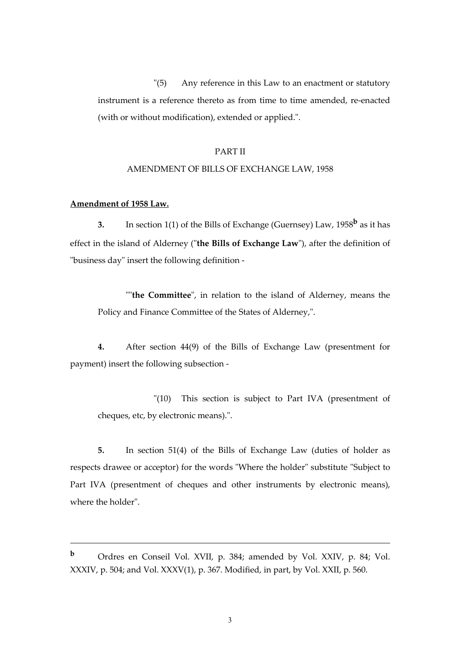"(5) Any reference in this Law to an enactment or statutory instrument is a reference thereto as from time to time amended, re-enacted (with or without modification), extended or applied.".

#### PART II

#### AMENDMENT OF BILLS OF EXCHANGE LAW, 1958

#### **Amendment of 1958 Law.**

-

 **3.** In section 1(1) of the Bills of Exchange (Guernsey) Law, 1958**b** as it has effect in the island of Alderney ("**the Bills of Exchange Law**"), after the definition of "business day" insert the following definition -

""**the Committee**", in relation to the island of Alderney, means the Policy and Finance Committee of the States of Alderney,".

**4.** After section 44(9) of the Bills of Exchange Law (presentment for payment) insert the following subsection -

"(10) This section is subject to Part IVA (presentment of cheques, etc, by electronic means).".

**5.** In section 51(4) of the Bills of Exchange Law (duties of holder as respects drawee or acceptor) for the words "Where the holder" substitute "Subject to Part IVA (presentment of cheques and other instruments by electronic means), where the holder".

**<sup>b</sup>** Ordres en Conseil Vol. XVII, p. 384; amended by Vol. XXIV, p. 84; Vol. XXXIV, p. 504; and Vol. XXXV(1), p. 367. Modified, in part, by Vol. XXII, p. 560.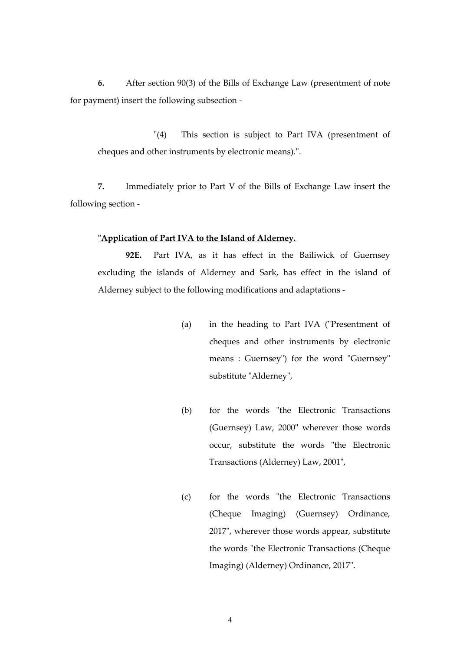**6.** After section 90(3) of the Bills of Exchange Law (presentment of note for payment) insert the following subsection -

"(4) This section is subject to Part IVA (presentment of cheques and other instruments by electronic means).".

 **7.** Immediately prior to Part V of the Bills of Exchange Law insert the following section -

#### **"Application of Part IVA to the Island of Alderney.**

**92E.** Part IVA, as it has effect in the Bailiwick of Guernsey excluding the islands of Alderney and Sark, has effect in the island of Alderney subject to the following modifications and adaptations -

- (a) in the heading to Part IVA ("Presentment of cheques and other instruments by electronic means : Guernsey") for the word "Guernsey" substitute "Alderney",
- (b) for the words "the Electronic Transactions (Guernsey) Law, 2000" wherever those words occur, substitute the words "the Electronic Transactions (Alderney) Law, 2001",
- (c) for the words "the Electronic Transactions (Cheque Imaging) (Guernsey) Ordinance, 2017", wherever those words appear, substitute the words "the Electronic Transactions (Cheque Imaging) (Alderney) Ordinance, 2017".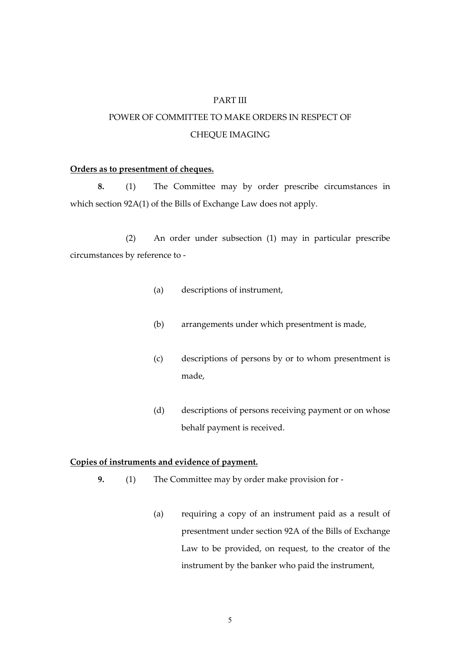#### PART III

## POWER OF COMMITTEE TO MAKE ORDERS IN RESPECT OF CHEQUE IMAGING

#### **Orders as to presentment of cheques.**

**8.** (1) The Committee may by order prescribe circumstances in which section 92A(1) of the Bills of Exchange Law does not apply.

 (2) An order under subsection (1) may in particular prescribe circumstances by reference to -

- (a) descriptions of instrument,
- (b) arrangements under which presentment is made,
- (c) descriptions of persons by or to whom presentment is made,
- (d) descriptions of persons receiving payment or on whose behalf payment is received.

#### **Copies of instruments and evidence of payment.**

- **9.** (1) The Committee may by order make provision for -
	- (a) requiring a copy of an instrument paid as a result of presentment under section 92A of the Bills of Exchange Law to be provided, on request, to the creator of the instrument by the banker who paid the instrument,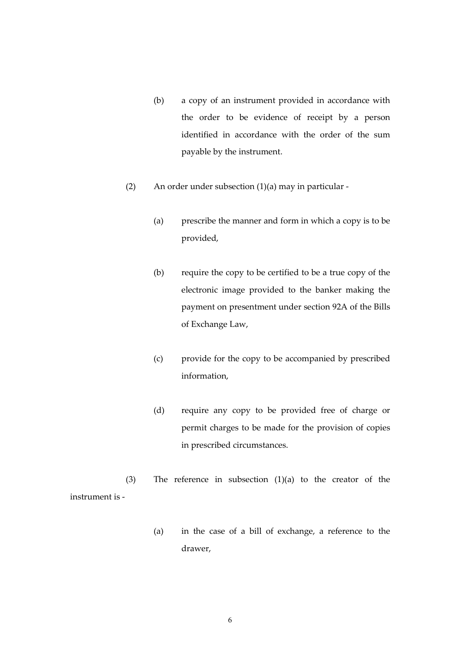- (b) a copy of an instrument provided in accordance with the order to be evidence of receipt by a person identified in accordance with the order of the sum payable by the instrument.
- (2) An order under subsection  $(1)(a)$  may in particular -
	- (a) prescribe the manner and form in which a copy is to be provided,
	- (b) require the copy to be certified to be a true copy of the electronic image provided to the banker making the payment on presentment under section 92A of the Bills of Exchange Law,
	- (c) provide for the copy to be accompanied by prescribed information,
	- (d) require any copy to be provided free of charge or permit charges to be made for the provision of copies in prescribed circumstances.

 (3) The reference in subsection (1)(a) to the creator of the instrument is -

> (a) in the case of a bill of exchange, a reference to the drawer,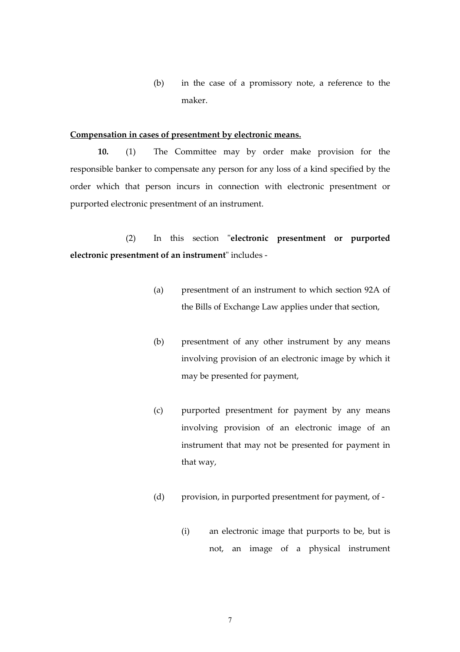(b) in the case of a promissory note, a reference to the maker.

#### **Compensation in cases of presentment by electronic means.**

 **10.** (1) The Committee may by order make provision for the responsible banker to compensate any person for any loss of a kind specified by the order which that person incurs in connection with electronic presentment or purported electronic presentment of an instrument.

 (2) In this section "**electronic presentment or purported electronic presentment of an instrument**" includes -

- (a) presentment of an instrument to which section 92A of the Bills of Exchange Law applies under that section,
- (b) presentment of any other instrument by any means involving provision of an electronic image by which it may be presented for payment,
- (c) purported presentment for payment by any means involving provision of an electronic image of an instrument that may not be presented for payment in that way,
- (d) provision, in purported presentment for payment, of
	- (i) an electronic image that purports to be, but is not, an image of a physical instrument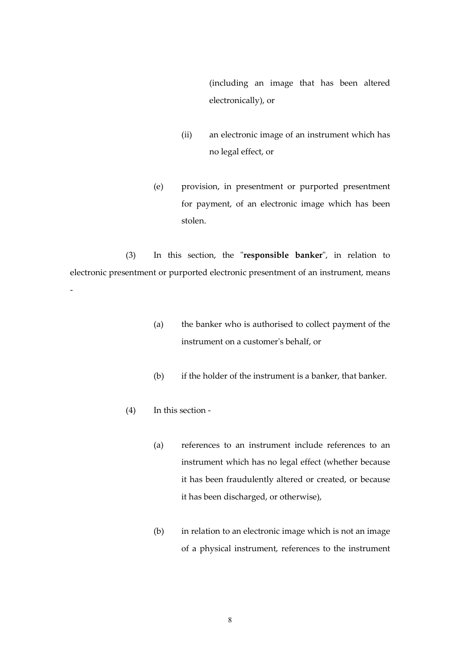(including an image that has been altered electronically), or

- (ii) an electronic image of an instrument which has no legal effect, or
- (e) provision, in presentment or purported presentment for payment, of an electronic image which has been stolen.

 (3) In this section, the "**responsible banker**", in relation to electronic presentment or purported electronic presentment of an instrument, means

- (a) the banker who is authorised to collect payment of the instrument on a customer's behalf, or
- (b) if the holder of the instrument is a banker, that banker.
- (4) In this section -

-

- (a) references to an instrument include references to an instrument which has no legal effect (whether because it has been fraudulently altered or created, or because it has been discharged, or otherwise),
- (b) in relation to an electronic image which is not an image of a physical instrument, references to the instrument

8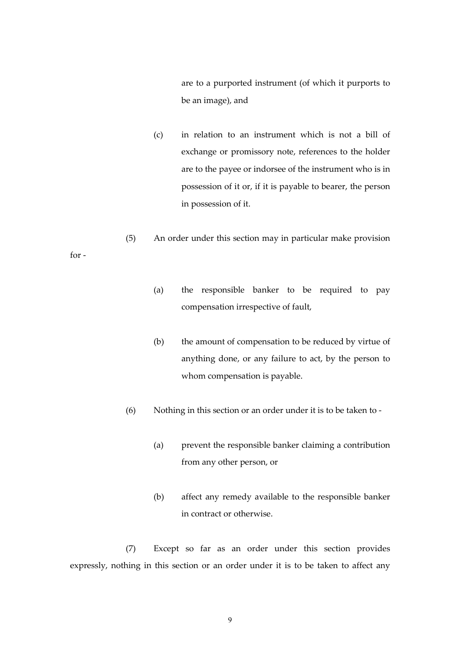are to a purported instrument (of which it purports to be an image), and

- (c) in relation to an instrument which is not a bill of exchange or promissory note, references to the holder are to the payee or indorsee of the instrument who is in possession of it or, if it is payable to bearer, the person in possession of it.
- (5) An order under this section may in particular make provision

for -

- (a) the responsible banker to be required to pay compensation irrespective of fault,
- (b) the amount of compensation to be reduced by virtue of anything done, or any failure to act, by the person to whom compensation is payable.
- (6) Nothing in this section or an order under it is to be taken to
	- (a) prevent the responsible banker claiming a contribution from any other person, or
	- (b) affect any remedy available to the responsible banker in contract or otherwise.

 (7) Except so far as an order under this section provides expressly, nothing in this section or an order under it is to be taken to affect any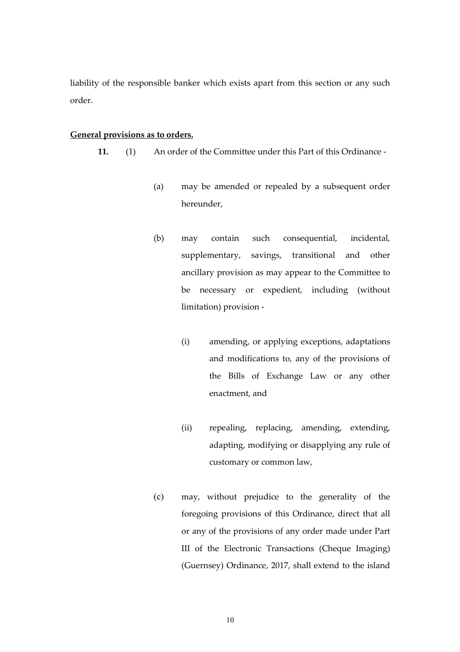liability of the responsible banker which exists apart from this section or any such order.

#### **General provisions as to orders.**

 **11.** (1) An order of the Committee under this Part of this Ordinance -

- (a) may be amended or repealed by a subsequent order hereunder,
- (b) may contain such consequential, incidental, supplementary, savings, transitional and other ancillary provision as may appear to the Committee to be necessary or expedient, including (without limitation) provision -
	- (i) amending, or applying exceptions, adaptations and modifications to, any of the provisions of the Bills of Exchange Law or any other enactment, and
	- (ii) repealing, replacing, amending, extending, adapting, modifying or disapplying any rule of customary or common law,
- (c) may, without prejudice to the generality of the foregoing provisions of this Ordinance, direct that all or any of the provisions of any order made under Part III of the Electronic Transactions (Cheque Imaging) (Guernsey) Ordinance, 2017, shall extend to the island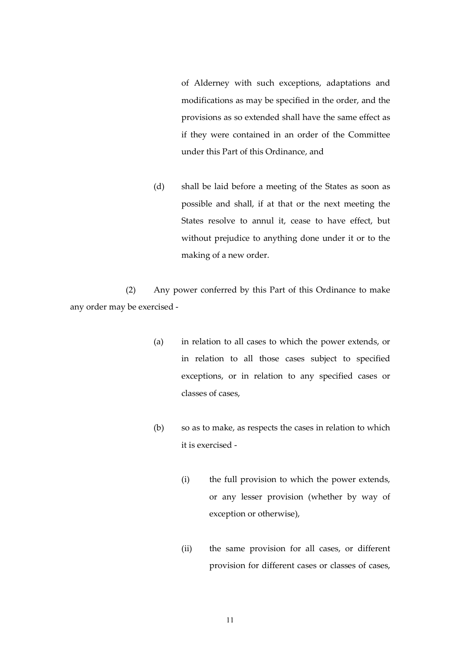of Alderney with such exceptions, adaptations and modifications as may be specified in the order, and the provisions as so extended shall have the same effect as if they were contained in an order of the Committee under this Part of this Ordinance, and

(d) shall be laid before a meeting of the States as soon as possible and shall, if at that or the next meeting the States resolve to annul it, cease to have effect, but without prejudice to anything done under it or to the making of a new order.

 (2) Any power conferred by this Part of this Ordinance to make any order may be exercised -

- (a) in relation to all cases to which the power extends, or in relation to all those cases subject to specified exceptions, or in relation to any specified cases or classes of cases,
- (b) so as to make, as respects the cases in relation to which it is exercised -
	- (i) the full provision to which the power extends, or any lesser provision (whether by way of exception or otherwise),
	- (ii) the same provision for all cases, or different provision for different cases or classes of cases,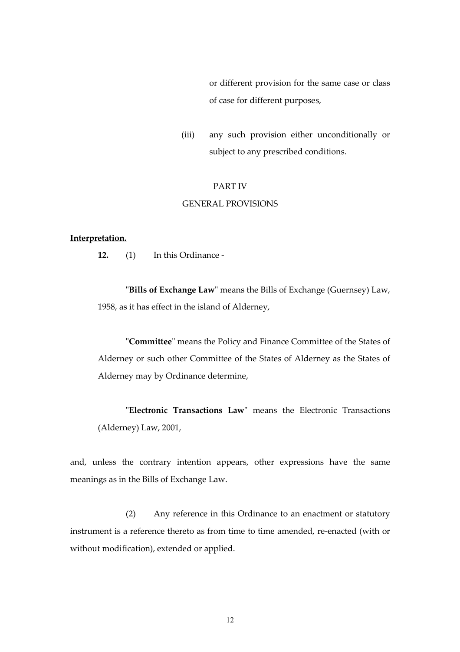or different provision for the same case or class of case for different purposes,

(iii) any such provision either unconditionally or subject to any prescribed conditions.

#### PART IV

#### GENERAL PROVISIONS

#### **Interpretation.**

 **12.** (1) In this Ordinance -

"**Bills of Exchange Law**" means the Bills of Exchange (Guernsey) Law, 1958, as it has effect in the island of Alderney,

"**Committee**" means the Policy and Finance Committee of the States of Alderney or such other Committee of the States of Alderney as the States of Alderney may by Ordinance determine,

"**Electronic Transactions Law**" means the Electronic Transactions (Alderney) Law, 2001,

and, unless the contrary intention appears, other expressions have the same meanings as in the Bills of Exchange Law.

 (2) Any reference in this Ordinance to an enactment or statutory instrument is a reference thereto as from time to time amended, re-enacted (with or without modification), extended or applied.